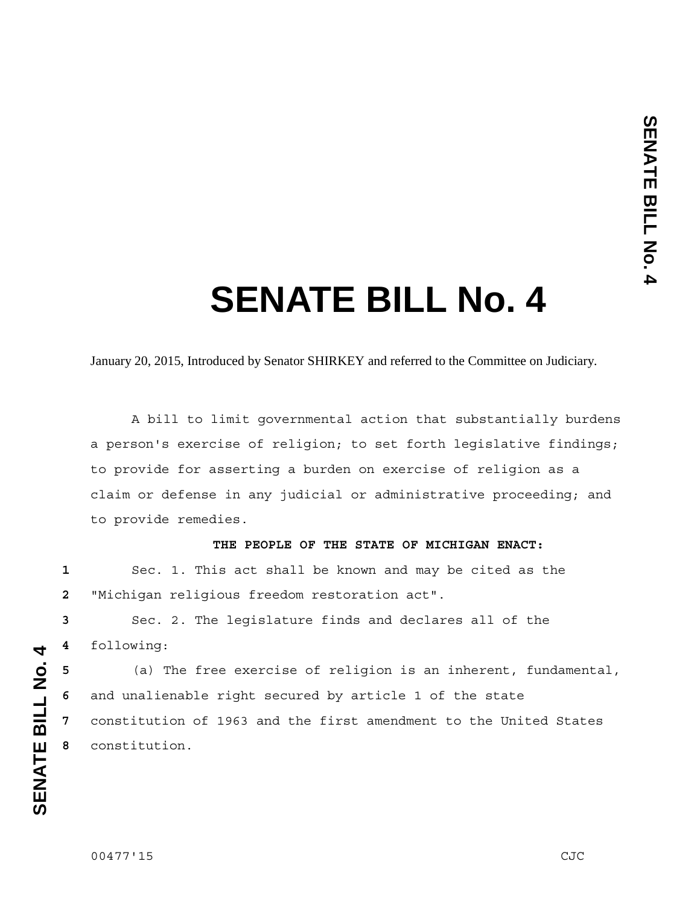## **SENATE BILL No. 4**

January 20, 2015, Introduced by Senator SHIRKEY and referred to the Committee on Judiciary.

 A bill to limit governmental action that substantially burdens a person's exercise of religion; to set forth legislative findings; to provide for asserting a burden on exercise of religion as a claim or defense in any judicial or administrative proceeding; and to provide remedies.

## **THE PEOPLE OF THE STATE OF MICHIGAN ENACT:**

**1** Sec. 1. This act shall be known and may be cited as the **2** "Michigan religious freedom restoration act".

**3** Sec. 2. The legislature finds and declares all of the **4** following:

(a) The free exercise of religion is an inherent, fundamental, and unalienable right secured by article 1 of the state constitution of 1963 and the first amendment to the United States constitution.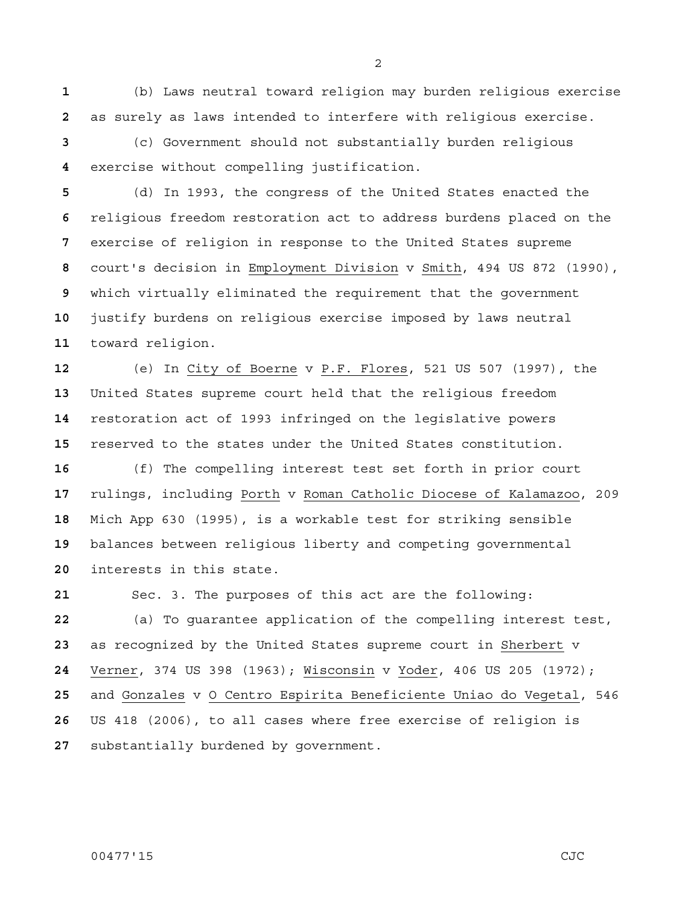(b) Laws neutral toward religion may burden religious exercise as surely as laws intended to interfere with religious exercise.

(c) Government should not substantially burden religious exercise without compelling justification.

(d) In 1993, the congress of the United States enacted the religious freedom restoration act to address burdens placed on the exercise of religion in response to the United States supreme court's decision in Employment Division v Smith, 494 US 872 (1990), which virtually eliminated the requirement that the government justify burdens on religious exercise imposed by laws neutral toward religion.

(e) In City of Boerne v P.F. Flores, 521 US 507 (1997), the United States supreme court held that the religious freedom restoration act of 1993 infringed on the legislative powers reserved to the states under the United States constitution.

(f) The compelling interest test set forth in prior court rulings, including Porth v Roman Catholic Diocese of Kalamazoo, 209 Mich App 630 (1995), is a workable test for striking sensible balances between religious liberty and competing governmental interests in this state.

Sec. 3. The purposes of this act are the following: (a) To guarantee application of the compelling interest test, as recognized by the United States supreme court in Sherbert v Verner, 374 US 398 (1963); Wisconsin v Yoder, 406 US 205 (1972); and Gonzales v O Centro Espirita Beneficiente Uniao do Vegetal, 546 US 418 (2006), to all cases where free exercise of religion is substantially burdened by government.

00477'15 CJC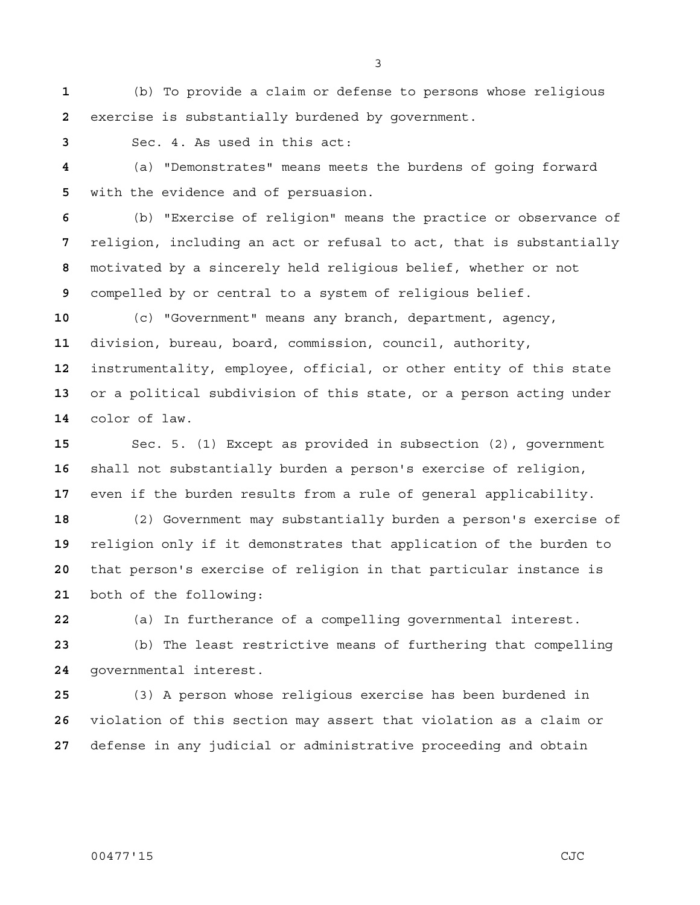(b) To provide a claim or defense to persons whose religious exercise is substantially burdened by government.

Sec. 4. As used in this act:

(a) "Demonstrates" means meets the burdens of going forward with the evidence and of persuasion.

(b) "Exercise of religion" means the practice or observance of religion, including an act or refusal to act, that is substantially motivated by a sincerely held religious belief, whether or not compelled by or central to a system of religious belief.

(c) "Government" means any branch, department, agency, division, bureau, board, commission, council, authority, instrumentality, employee, official, or other entity of this state or a political subdivision of this state, or a person acting under color of law.

Sec. 5. (1) Except as provided in subsection (2), government shall not substantially burden a person's exercise of religion, even if the burden results from a rule of general applicability.

(2) Government may substantially burden a person's exercise of religion only if it demonstrates that application of the burden to that person's exercise of religion in that particular instance is both of the following:

(a) In furtherance of a compelling governmental interest.

(b) The least restrictive means of furthering that compelling governmental interest.

(3) A person whose religious exercise has been burdened in violation of this section may assert that violation as a claim or defense in any judicial or administrative proceeding and obtain

## 00477'15 CJC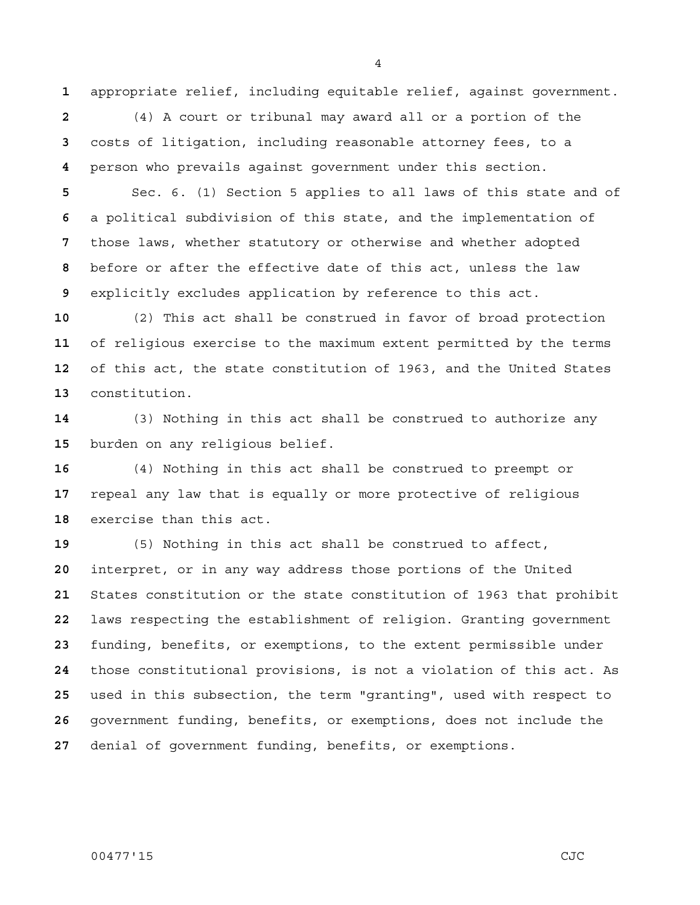appropriate relief, including equitable relief, against government.

(4) A court or tribunal may award all or a portion of the costs of litigation, including reasonable attorney fees, to a person who prevails against government under this section.

Sec. 6. (1) Section 5 applies to all laws of this state and of a political subdivision of this state, and the implementation of those laws, whether statutory or otherwise and whether adopted before or after the effective date of this act, unless the law explicitly excludes application by reference to this act.

(2) This act shall be construed in favor of broad protection of religious exercise to the maximum extent permitted by the terms of this act, the state constitution of 1963, and the United States constitution.

(3) Nothing in this act shall be construed to authorize any burden on any religious belief.

(4) Nothing in this act shall be construed to preempt or repeal any law that is equally or more protective of religious exercise than this act.

(5) Nothing in this act shall be construed to affect, interpret, or in any way address those portions of the United States constitution or the state constitution of 1963 that prohibit laws respecting the establishment of religion. Granting government funding, benefits, or exemptions, to the extent permissible under those constitutional provisions, is not a violation of this act. As used in this subsection, the term "granting", used with respect to government funding, benefits, or exemptions, does not include the denial of government funding, benefits, or exemptions.